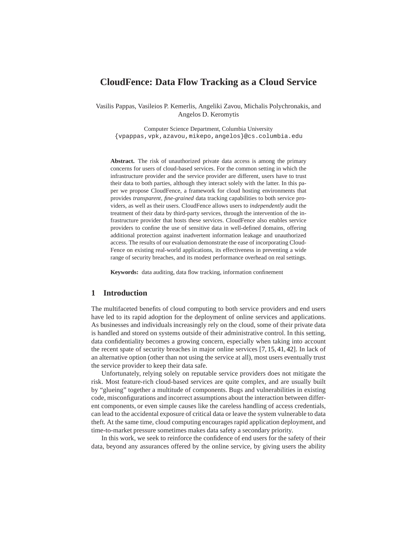# **CloudFence: Data Flow Tracking as a Cloud Service**

Vasilis Pappas, Vasileios P. Kemerlis, Angeliki Zavou, Michalis Polychronakis, and Angelos D. Keromytis

Computer Science Department, Columbia University {vpappas,vpk,azavou,mikepo,angelos}@cs.columbia.edu

**Abstract.** The risk of unauthorized private data access is among the primary concerns for users of cloud-based services. For the common setting in which the infrastructure provider and the service provider are different, users have to trust their data to both parties, although they interact solely with the latter. In this paper we propose CloudFence, a framework for cloud hosting environments that provides *transparent*, *fine-grained* data tracking capabilities to both service providers, as well as their users. CloudFence allows users to *independently* audit the treatment of their data by third-party services, through the intervention of the infrastructure provider that hosts these services. CloudFence also enables service providers to confine the use of sensitive data in well-defined domains, offering additional protection against inadvertent information leakage and unauthorized access. The results of our evaluation demonstrate the ease of incorporating Cloud-Fence on existing real-world applications, its effectiveness in preventing a wide range of security breaches, and its modest performance overhead on real settings.

**Keywords:** data auditing, data flow tracking, information confinement

### **1 Introduction**

The multifaceted benefits of cloud computing to both service providers and end users have led to its rapid adoption for the deployment of online services and applications. As businesses and individuals increasingly rely on the cloud, some of their private data is handled and stored on systems outside of their administrative control. In this setting, data confidentiality becomes a growing concern, especially when taking into account the recent spate of security breaches in major online services [\[7,](#page-18-0) [15,](#page-18-1) [41,](#page-19-0) [42\]](#page-19-1). In lack of an alternative option (other than not using the service at all), most users eventually trust the service provider to keep their data safe.

Unfortunately, relying solely on reputable service providers does not mitigate the risk. Most feature-rich cloud-based services are quite complex, and are usually built by "glueing" together a multitude of components. Bugs and vulnerabilities in existing code, misconfigurations and incorrect assumptions about the interaction between different components, or even simple causes like the careless handling of access credentials, can lead to the accidental exposure of critical data or leave the system vulnerable to data theft. At the same time, cloud computing encourages rapid application deployment, and time-to-market pressure sometimes makes data safety a secondary priority.

In this work, we seek to reinforce the confidence of end users for the safety of their data, beyond any assurances offered by the online service, by giving users the ability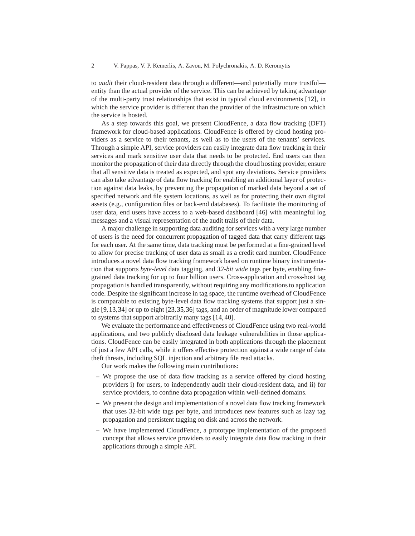to *audit* their cloud-resident data through a different—and potentially more trustful entity than the actual provider of the service. This can be achieved by taking advantage of the multi-party trust relationships that exist in typical cloud environments [\[12\]](#page-18-2), in which the service provider is different than the provider of the infrastructure on which the service is hosted.

As a step towards this goal, we present CloudFence, a data flow tracking (DFT) framework for cloud-based applications. CloudFence is offered by cloud hosting providers as a service to their tenants, as well as to the users of the tenants' services. Through a simple API, service providers can easily integrate data flow tracking in their services and mark sensitive user data that needs to be protected. End users can then monitor the propagation of their data directly through the cloud hosting provider, ensure that all sensitive data is treated as expected, and spot any deviations. Service providers can also take advantage of data flow tracking for enabling an additional layer of protection against data leaks, by preventing the propagation of marked data beyond a set of specified network and file system locations, as well as for protecting their own digital assets (e.g., configuration files or back-end databases). To facilitate the monitoring of user data, end users have access to a web-based dashboard [\[46\]](#page-19-2) with meaningful log messages and a visual representation of the audit trails of their data.

A major challenge in supporting data auditing for services with a very large number of users is the need for concurrent propagation of tagged data that carry different tags for each user. At the same time, data tracking must be performed at a fine-grained level to allow for precise tracking of user data as small as a credit card number. CloudFence introduces a novel data flow tracking framework based on runtime binary instrumentation that supports *byte-level* data tagging, and *32-bit wide* tags per byte, enabling finegrained data tracking for up to four billion users. Cross-application and cross-host tag propagation is handled transparently, without requiring any modifications to application code. Despite the significant increase in tag space, the runtime overhead of CloudFence is comparable to existing byte-level data flow tracking systems that support just a single [\[9,](#page-18-3)[13,](#page-18-4)[34\]](#page-19-3) or up to eight [\[23,](#page-18-5)[35,](#page-19-4)[36\]](#page-19-5) tags, and an order of magnitude lower compared to systems that support arbitrarily many tags [\[14,](#page-18-6) [40\]](#page-19-6).

We evaluate the performance and effectiveness of CloudFence using two real-world applications, and two publicly disclosed data leakage vulnerabilities in those applications. CloudFence can be easily integrated in both applications through the placement of just a few API calls, while it offers effective protection against a wide range of data theft threats, including SQL injection and arbitrary file read attacks.

Our work makes the following main contributions:

- **–** We propose the use of data flow tracking as a service offered by cloud hosting providers i) for users, to independently audit their cloud-resident data, and ii) for service providers, to confine data propagation within well-defined domains.
- **–** We present the design and implementation of a novel data flow tracking framework that uses 32-bit wide tags per byte, and introduces new features such as lazy tag propagation and persistent tagging on disk and across the network.
- **–** We have implemented CloudFence, a prototype implementation of the proposed concept that allows service providers to easily integrate data flow tracking in their applications through a simple API.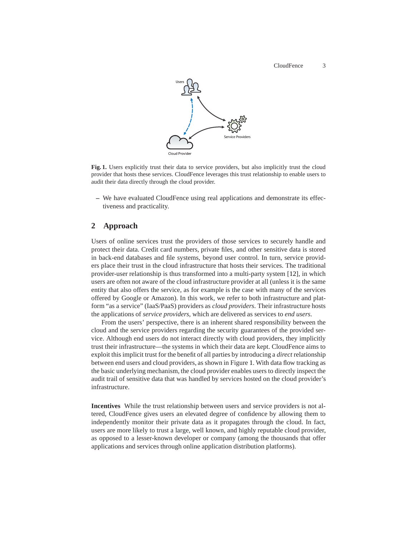

<span id="page-2-0"></span>**Fig. 1.** Users explicitly trust their data to service providers, but also implicitly trust the cloud provider that hosts these services. CloudFence leverages this trust relationship to enable users to audit their data directly through the cloud provider.

**–** We have evaluated CloudFence using real applications and demonstrate its effectiveness and practicality.

# **2 Approach**

Users of online services trust the providers of those services to securely handle and protect their data. Credit card numbers, private files, and other sensitive data is stored in back-end databases and file systems, beyond user control. In turn, service providers place their trust in the cloud infrastructure that hosts their services. The traditional provider-user relationship is thus transformed into a multi-party system [\[12\]](#page-18-2), in which users are often not aware of the cloud infrastructure provider at all (unless it is the same entity that also offers the service, as for example is the case with many of the services offered by Google or Amazon). In this work, we refer to both infrastructure and platform "as a service" (IaaS/PaaS) providers as *cloud providers*. Their infrastructure hosts the applications of *service providers*, which are delivered as services to *end users*.

From the users' perspective, there is an inherent shared responsibility between the cloud and the service providers regarding the security guarantees of the provided service. Although end users do not interact directly with cloud providers, they implicitly trust their infrastructure—the systems in which their data are kept. CloudFence aims to exploit this implicit trust for the benefit of all parties by introducing a *direct* relationship between end users and cloud providers, as shown in Figure [1.](#page-2-0) With data flow tracking as the basic underlying mechanism, the cloud provider enables users to directly inspect the audit trail of sensitive data that was handled by services hosted on the cloud provider's infrastructure.

**Incentives** While the trust relationship between users and service providers is not altered, CloudFence gives users an elevated degree of confidence by allowing them to independently monitor their private data as it propagates through the cloud. In fact, users are more likely to trust a large, well known, and highly reputable cloud provider, as opposed to a lesser-known developer or company (among the thousands that offer applications and services through online application distribution platforms).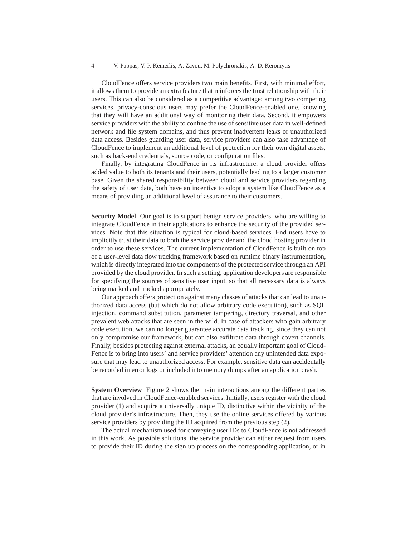#### 4 V. Pappas, V. P. Kemerlis, A. Zavou, M. Polychronakis, A. D. Keromytis

CloudFence offers service providers two main benefits. First, with minimal effort, it allows them to provide an extra feature that reinforces the trust relationship with their users. This can also be considered as a competitive advantage: among two competing services, privacy-conscious users may prefer the CloudFence-enabled one, knowing that they will have an additional way of monitoring their data. Second, it empowers service providers with the ability to confine the use of sensitive user data in well-defined network and file system domains, and thus prevent inadvertent leaks or unauthorized data access. Besides guarding user data, service providers can also take advantage of CloudFence to implement an additional level of protection for their own digital assets, such as back-end credentials, source code, or configuration files.

Finally, by integrating CloudFence in its infrastructure, a cloud provider offers added value to both its tenants and their users, potentially leading to a larger customer base. Given the shared responsibility between cloud and service providers regarding the safety of user data, both have an incentive to adopt a system like CloudFence as a means of providing an additional level of assurance to their customers.

**Security Model** Our goal is to support benign service providers, who are willing to integrate CloudFence in their applications to enhance the security of the provided services. Note that this situation is typical for cloud-based services. End users have to implicitly trust their data to both the service provider and the cloud hosting provider in order to use these services. The current implementation of CloudFence is built on top of a user-level data flow tracking framework based on runtime binary instrumentation, which is directly integrated into the components of the protected service through an API provided by the cloud provider. In such a setting, application developers are responsible for specifying the sources of sensitive user input, so that all necessary data is always being marked and tracked appropriately.

Our approach offers protection against many classes of attacks that can lead to unauthorized data access (but which do not allow arbitrary code execution), such as SQL injection, command substitution, parameter tampering, directory traversal, and other prevalent web attacks that are seen in the wild. In case of attackers who gain arbitrary code execution, we can no longer guarantee accurate data tracking, since they can not only compromise our framework, but can also exfiltrate data through covert channels. Finally, besides protecting against external attacks, an equally important goal of Cloud-Fence is to bring into users' and service providers' attention any unintended data exposure that may lead to unauthorized access. For example, sensitive data can accidentally be recorded in error logs or included into memory dumps after an application crash.

**System Overview** Figure [2](#page-4-0) shows the main interactions among the different parties that are involved in CloudFence-enabled services. Initially, users register with the cloud provider (1) and acquire a universally unique ID, distinctive within the vicinity of the cloud provider's infrastructure. Then, they use the online services offered by various service providers by providing the ID acquired from the previous step (2).

The actual mechanism used for conveying user IDs to CloudFence is not addressed in this work. As possible solutions, the service provider can either request from users to provide their ID during the sign up process on the corresponding application, or in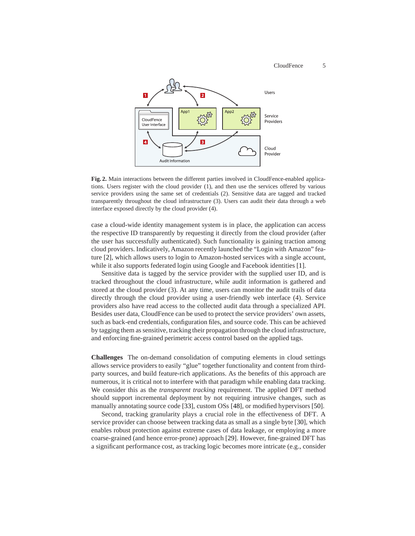

<span id="page-4-0"></span>**Fig. 2.** Main interactions between the different parties involved in CloudFence-enabled applications. Users register with the cloud provider (1), and then use the services offered by various service providers using the same set of credentials (2). Sensitive data are tagged and tracked transparently throughout the cloud infrastructure (3). Users can audit their data through a web interface exposed directly by the cloud provider (4).

case a cloud-wide identity management system is in place, the application can access the respective ID transparently by requesting it directly from the cloud provider (after the user has successfully authenticated). Such functionality is gaining traction among cloud providers. Indicatively, Amazon recently launched the "Login with Amazon" feature [\[2\]](#page-18-7), which allows users to login to Amazon-hosted services with a single account, while it also supports federated login using Google and Facebook identities [\[1\]](#page-18-8).

Sensitive data is tagged by the service provider with the supplied user ID, and is tracked throughout the cloud infrastructure, while audit information is gathered and stored at the cloud provider (3). At any time, users can monitor the audit trails of data directly through the cloud provider using a user-friendly web interface (4). Service providers also have read access to the collected audit data through a specialized API. Besides user data, CloudFence can be used to protect the service providers' own assets, such as back-end credentials, configuration files, and source code. This can be achieved by tagging them as sensitive, tracking their propagation through the cloud infrastructure, and enforcing fine-grained perimetric access control based on the applied tags.

**Challenges** The on-demand consolidation of computing elements in cloud settings allows service providers to easily "glue" together functionality and content from thirdparty sources, and build feature-rich applications. As the benefits of this approach are numerous, it is critical not to interfere with that paradigm while enabling data tracking. We consider this as the *transparent tracking* requirement. The applied DFT method should support incremental deployment by not requiring intrusive changes, such as manually annotating source code [\[33\]](#page-19-7), custom OSs [\[48\]](#page-19-8), or modified hypervisors [\[50\]](#page-19-9).

Second, tracking granularity plays a crucial role in the effectiveness of DFT. A service provider can choose between tracking data as small as a single byte [\[30\]](#page-19-10), which enables robust protection against extreme cases of data leakage, or employing a more coarse-grained (and hence error-prone) approach [\[29\]](#page-19-11). However, fine-grained DFT has a significant performance cost, as tracking logic becomes more intricate (e.g., consider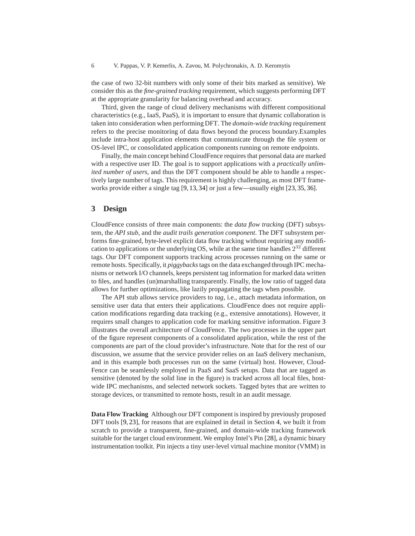the case of two 32-bit numbers with only some of their bits marked as sensitive). We consider this as the *fine-grained tracking* requirement, which suggests performing DFT at the appropriate granularity for balancing overhead and accuracy.

Third, given the range of cloud delivery mechanisms with different compositional characteristics (e.g., IaaS, PaaS), it is important to ensure that dynamic collaboration is taken into consideration when performing DFT. The *domain-wide tracking* requirement refers to the precise monitoring of data flows beyond the process boundary.Examples include intra-host application elements that communicate through the file system or OS-level IPC, or consolidated application components running on remote endpoints.

Finally, the main concept behind CloudFence requires that personal data are marked with a respective user ID. The goal is to support applications with a *practically unlimited number of users*, and thus the DFT component should be able to handle a respectively large number of tags. This requirement is highly challenging, as most DFT frameworks provide either a single tag [\[9,](#page-18-3) [13,](#page-18-4) [34\]](#page-19-3) or just a few—usually eight [\[23,](#page-18-5) [35,](#page-19-4) [36\]](#page-19-5).

### **3 Design**

CloudFence consists of three main components: the *data flow tracking* (DFT) subsystem, the *API stub*, and the *audit trails generation component*. The DFT subsystem performs fine-grained, byte-level explicit data flow tracking without requiring any modification to applications or the underlying OS, while at the same time handles  $2^{32}$  different tags. Our DFT component supports tracking across processes running on the same or remote hosts. Specifically, it *piggybacks*tags on the data exchanged through IPC mechanisms or network I/O channels, keeps persistent tag information for marked data written to files, and handles (un)marshalling transparently. Finally, the low ratio of tagged data allows for further optimizations, like lazily propagating the tags when possible.

The API stub allows service providers to *tag*, i.e., attach metadata information, on sensitive user data that enters their applications. CloudFence does not require application modifications regarding data tracking (e.g., extensive annotations). However, it requires small changes to application code for marking sensitive information. Figure [3](#page-6-0) illustrates the overall architecture of CloudFence. The two processes in the upper part of the figure represent components of a consolidated application, while the rest of the components are part of the cloud provider's infrastructure. Note that for the rest of our discussion, we assume that the service provider relies on an IaaS delivery mechanism, and in this example both processes run on the same (virtual) host. However, Cloud-Fence can be seamlessly employed in PaaS and SaaS setups. Data that are tagged as sensitive (denoted by the solid line in the figure) is tracked across all local files, hostwide IPC mechanisms, and selected network sockets. Tagged bytes that are written to storage devices, or transmitted to remote hosts, result in an audit message.

**Data Flow Tracking** Although our DFT component is inspired by previously proposed DFT tools [\[9,](#page-18-3) [23\]](#page-18-5), for reasons that are explained in detail in Section [4,](#page-7-0) we built it from scratch to provide a transparent, fine-grained, and domain-wide tracking framework suitable for the target cloud environment. We employ Intel's Pin [\[28\]](#page-19-12), a dynamic binary instrumentation toolkit. Pin injects a tiny user-level virtual machine monitor (VMM) in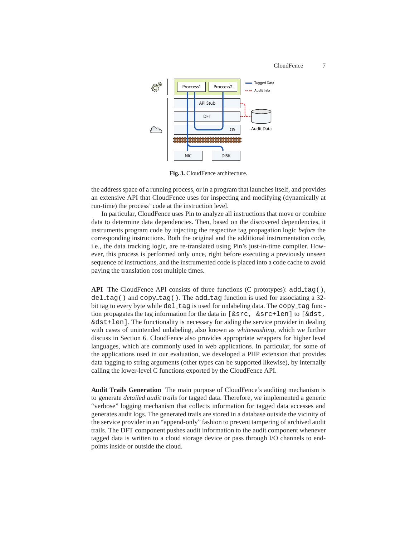

<span id="page-6-0"></span>**Fig. 3.** CloudFence architecture.

the address space of a running process, or in a program that launches itself, and provides an extensive API that CloudFence uses for inspecting and modifying (dynamically at run-time) the process' code at the instruction level.

In particular, CloudFence uses Pin to analyze all instructions that move or combine data to determine data dependencies. Then, based on the discovered dependencies, it instruments program code by injecting the respective tag propagation logic *before* the corresponding instructions. Both the original and the additional instrumentation code, i.e., the data tracking logic, are re-translated using Pin's just-in-time compiler. However, this process is performed only once, right before executing a previously unseen sequence of instructions, and the instrumented code is placed into a code cache to avoid paying the translation cost multiple times.

API The CloudFence API consists of three functions (C prototypes): add\_tag(), del\_tag() and copy\_tag(). The add\_tag function is used for associating a 32bit tag to every byte while del tag is used for unlabeling data. The copy tag function propagates the tag information for the data in  $[&src, &src+len]$  to  $[&dst,$ &dst+len]. The functionality is necessary for aiding the service provider in dealing with cases of unintended unlabeling, also known as *whitewashing*, which we further discuss in Section [6.](#page-15-0) CloudFence also provides appropriate wrappers for higher level languages, which are commonly used in web applications. In particular, for some of the applications used in our evaluation, we developed a PHP extension that provides data tagging to string arguments (other types can be supported likewise), by internally calling the lower-level C functions exported by the CloudFence API.

**Audit Trails Generation** The main purpose of CloudFence's auditing mechanism is to generate *detailed audit trails* for tagged data. Therefore, we implemented a generic "verbose" logging mechanism that collects information for tagged data accesses and generates audit logs. The generated trails are stored in a database outside the vicinity of the service provider in an "append-only" fashion to prevent tampering of archived audit trails. The DFT component pushes audit information to the audit component whenever tagged data is written to a cloud storage device or pass through I/O channels to endpoints inside or outside the cloud.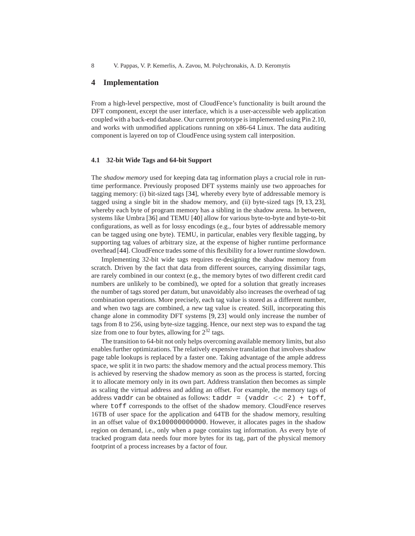## <span id="page-7-0"></span>**4 Implementation**

From a high-level perspective, most of CloudFence's functionality is built around the DFT component, except the user interface, which is a user-accessible web application coupled with a back-end database. Our current prototype is implemented using Pin 2.10, and works with unmodified applications running on x86-64 Linux. The data auditing component is layered on top of CloudFence using system call interposition.

#### **4.1 32-bit Wide Tags and 64-bit Support**

The *shadow memory* used for keeping data tag information plays a crucial role in runtime performance. Previously proposed DFT systems mainly use two approaches for tagging memory: (i) bit-sized tags [\[34\]](#page-19-3), whereby every byte of addressable memory is tagged using a single bit in the shadow memory, and (ii) byte-sized tags [\[9,](#page-18-3) [13,](#page-18-4) [23\]](#page-18-5), whereby each byte of program memory has a sibling in the shadow arena. In between, systems like Umbra [\[36\]](#page-19-5) and TEMU [\[40\]](#page-19-6) allow for various byte-to-byte and byte-to-bit configurations, as well as for lossy encodings (e.g., four bytes of addressable memory can be tagged using one byte). TEMU, in particular, enables very flexible tagging, by supporting tag values of arbitrary size, at the expense of higher runtime performance overhead [\[44\]](#page-19-13). CloudFence trades some of this flexibility for a lower runtime slowdown.

Implementing 32-bit wide tags requires re-designing the shadow memory from scratch. Driven by the fact that data from different sources, carrying dissimilar tags, are rarely combined in our context (e.g., the memory bytes of two different credit card numbers are unlikely to be combined), we opted for a solution that greatly increases the number of tags stored per datum, but unavoidably also increases the overhead of tag combination operations. More precisely, each tag value is stored as a different number, and when two tags are combined, a *new* tag value is created. Still, incorporating this change alone in commodity DFT systems [\[9,](#page-18-3) [23\]](#page-18-5) would only increase the number of tags from 8 to 256, using byte-size tagging. Hence, our next step was to expand the tag size from one to four bytes, allowing for  $2^{32}$  tags.

The transition to 64-bit not only helps overcoming available memory limits, but also enables further optimizations. The relatively expensive translation that involves shadow page table lookups is replaced by a faster one. Taking advantage of the ample address space, we split it in two parts: the shadow memory and the actual process memory. This is achieved by reserving the shadow memory as soon as the process is started, forcing it to allocate memory only in its own part. Address translation then becomes as simple as scaling the virtual address and adding an offset. For example, the memory tags of address vaddr can be obtained as follows: taddr = (vaddr  $\lt\lt$  2) + toff, where toff corresponds to the offset of the shadow memory. CloudFence reserves 16TB of user space for the application and 64TB for the shadow memory, resulting in an offset value of  $0x100000000000$ . However, it allocates pages in the shadow region on demand, i.e., only when a page contains tag information. As every byte of tracked program data needs four more bytes for its tag, part of the physical memory footprint of a process increases by a factor of four.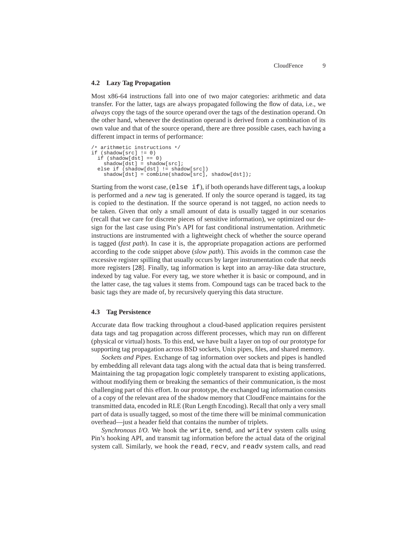#### **4.2 Lazy Tag Propagation**

Most x86-64 instructions fall into one of two major categories: arithmetic and data transfer. For the latter, tags are always propagated following the flow of data, i.e., we *always* copy the tags of the source operand over the tags of the destination operand. On the other hand, whenever the destination operand is derived from a combination of its own value and that of the source operand, there are three possible cases, each having a different impact in terms of performance:

```
/* arithmetic instructions */
if (shadow[src] != 0)
  if (shadow[dst] == 0)shadow[dst] = shadow[src];
  else if (shadow[dst] != shadow[src])
    shadow[dst] = combine(shadow[src], shadow[dst]);
```
Starting from the worst case, (else if), if both operands have different tags, a lookup is performed and a *new* tag is generated. If only the source operand is tagged, its tag is copied to the destination. If the source operand is not tagged, no action needs to be taken. Given that only a small amount of data is usually tagged in our scenarios (recall that we care for discrete pieces of sensitive information), we optimized our design for the last case using Pin's API for fast conditional instrumentation. Arithmetic instructions are instrumented with a lightweight check of whether the source operand is tagged (*fast path*). In case it is, the appropriate propagation actions are performed according to the code snippet above (*slow path*). This avoids in the common case the excessive register spilling that usually occurs by larger instrumentation code that needs more registers [\[28\]](#page-19-12). Finally, tag information is kept into an array-like data structure, indexed by tag value. For every tag, we store whether it is basic or compound, and in the latter case, the tag values it stems from. Compound tags can be traced back to the basic tags they are made of, by recursively querying this data structure.

#### **4.3 Tag Persistence**

Accurate data flow tracking throughout a cloud-based application requires persistent data tags and tag propagation across different processes, which may run on different (physical or virtual) hosts. To this end, we have built a layer on top of our prototype for supporting tag propagation across BSD sockets, Unix pipes, files, and shared memory.

*Sockets and Pipes.* Exchange of tag information over sockets and pipes is handled by embedding all relevant data tags along with the actual data that is being transferred. Maintaining the tag propagation logic completely transparent to existing applications, without modifying them or breaking the semantics of their communication, is the most challenging part of this effort. In our prototype, the exchanged tag information consists of a copy of the relevant area of the shadow memory that CloudFence maintains for the transmitted data, encoded in RLE (Run Length Encoding). Recall that only a very small part of data is usually tagged, so most of the time there will be minimal communication overhead—just a header field that contains the number of triplets.

*Synchronous I/O.* We hook the write, send, and writev system calls using Pin's hooking API, and transmit tag information before the actual data of the original system call. Similarly, we hook the read, recv, and readv system calls, and read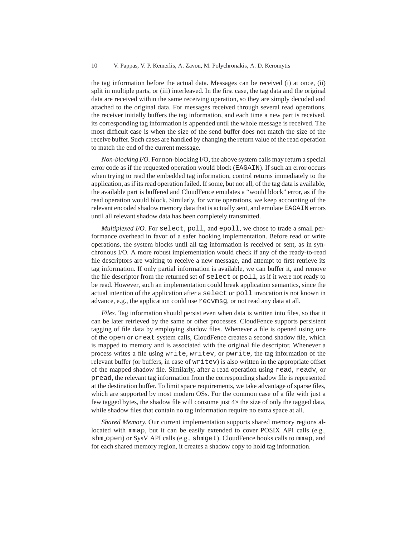the tag information before the actual data. Messages can be received (i) at once, (ii) split in multiple parts, or (iii) interleaved. In the first case, the tag data and the original data are received within the same receiving operation, so they are simply decoded and attached to the original data. For messages received through several read operations, the receiver initially buffers the tag information, and each time a new part is received, its corresponding tag information is appended until the whole message is received. The most difficult case is when the size of the send buffer does not match the size of the receive buffer. Such cases are handled by changing the return value of the read operation to match the end of the current message.

*Non-blocking I/O.* For non-blocking I/O, the above system calls may return a special error code as if the requested operation would block (EAGAIN). If such an error occurs when trying to read the embedded tag information, control returns immediately to the application, as if its read operation failed. If some, but not all, of the tag data is available, the available part is buffered and CloudFence emulates a "would block" error, as if the read operation would block. Similarly, for write operations, we keep accounting of the relevant encoded shadow memory data that is actually sent, and emulate EAGAIN errors until all relevant shadow data has been completely transmitted.

*Multiplexed I/O.* For select, poll, and epoll, we chose to trade a small performance overhead in favor of a safer hooking implementation. Before read or write operations, the system blocks until all tag information is received or sent, as in synchronous I/O. A more robust implementation would check if any of the ready-to-read file descriptors are waiting to receive a new message, and attempt to first retrieve its tag information. If only partial information is available, we can buffer it, and remove the file descriptor from the returned set of select or poll, as if it were not ready to be read. However, such an implementation could break application semantics, since the actual intention of the application after a select or poll invocation is not known in advance, e.g., the application could use recvmsg, or not read any data at all.

*Files.* Tag information should persist even when data is written into files, so that it can be later retrieved by the same or other processes. CloudFence supports persistent tagging of file data by employing shadow files. Whenever a file is opened using one of the open or creat system calls, CloudFence creates a second shadow file, which is mapped to memory and is associated with the original file descriptor. Whenever a process writes a file using write, writev, or pwrite, the tag information of the relevant buffer (or buffers, in case of writev) is also written in the appropriate offset of the mapped shadow file. Similarly, after a read operation using read, readv, or pread, the relevant tag information from the corresponding shadow file is represented at the destination buffer. To limit space requirements, we take advantage of sparse files, which are supported by most modern OSs. For the common case of a file with just a few tagged bytes, the shadow file will consume just  $4\times$  the size of only the tagged data, while shadow files that contain no tag information require no extra space at all.

*Shared Memory.* Our current implementation supports shared memory regions allocated with mmap, but it can be easily extended to cover POSIX API calls (e.g., shm open) or SysV API calls (e.g., shmget). CloudFence hooks calls to mmap, and for each shared memory region, it creates a shadow copy to hold tag information.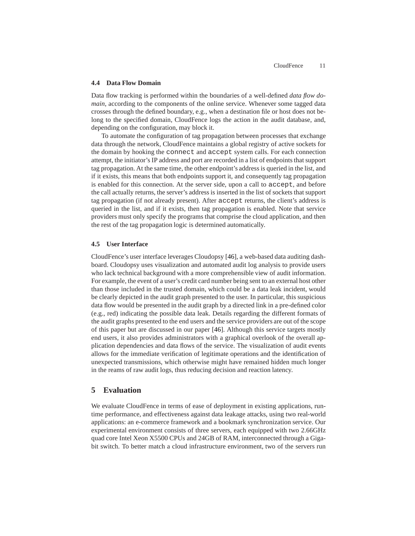#### **4.4 Data Flow Domain**

Data flow tracking is performed within the boundaries of a well-defined *data flow domain*, according to the components of the online service. Whenever some tagged data crosses through the defined boundary, e.g., when a destination file or host does not belong to the specified domain, CloudFence logs the action in the audit database, and, depending on the configuration, may block it.

To automate the configuration of tag propagation between processes that exchange data through the network, CloudFence maintains a global registry of active sockets for the domain by hooking the connect and accept system calls. For each connection attempt, the initiator's IP address and port are recorded in a list of endpoints that support tag propagation. At the same time, the other endpoint's address is queried in the list, and if it exists, this means that both endpoints support it, and consequently tag propagation is enabled for this connection. At the server side, upon a call to accept, and before the call actually returns, the server's address is inserted in the list of sockets that support tag propagation (if not already present). After accept returns, the client's address is queried in the list, and if it exists, then tag propagation is enabled. Note that service providers must only specify the programs that comprise the cloud application, and then the rest of the tag propagation logic is determined automatically.

#### **4.5 User Interface**

CloudFence's user interface leverages Cloudopsy [\[46\]](#page-19-2), a web-based data auditing dashboard. Cloudopsy uses visualization and automated audit log analysis to provide users who lack technical background with a more comprehensible view of audit information. For example, the event of a user's credit card number being sent to an external host other than those included in the trusted domain, which could be a data leak incident, would be clearly depicted in the audit graph presented to the user. In particular, this suspicious data flow would be presented in the audit graph by a directed link in a pre-defined color (e.g., red) indicating the possible data leak. Details regarding the different formats of the audit graphs presented to the end users and the service providers are out of the scope of this paper but are discussed in our paper [\[46\]](#page-19-2). Although this service targets mostly end users, it also provides administrators with a graphical overlook of the overall application dependencies and data flows of the service. The visualization of audit events allows for the immediate verification of legitimate operations and the identification of unexpected transmissions, which otherwise might have remained hidden much longer in the reams of raw audit logs, thus reducing decision and reaction latency.

# **5 Evaluation**

We evaluate CloudFence in terms of ease of deployment in existing applications, runtime performance, and effectiveness against data leakage attacks, using two real-world applications: an e-commerce framework and a bookmark synchronization service. Our experimental environment consists of three servers, each equipped with two 2.66GHz quad core Intel Xeon X5500 CPUs and 24GB of RAM, interconnected through a Gigabit switch. To better match a cloud infrastructure environment, two of the servers run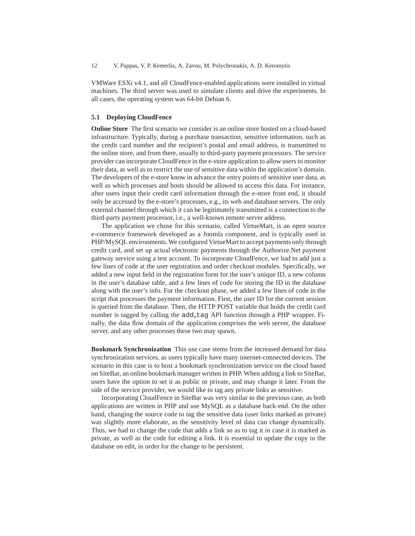VMWare ESXi v4.1, and all CloudFence-enabled applications were installed in virtual machines. The third server was used to simulate clients and drive the experiments. In all cases, the operating system was 64-bit Debian 6.

#### **5.1 Deploying CloudFence**

**Online Store** The first scenario we consider is an online store hosted on a cloud-based infrastructure. Typically, during a purchase transaction, sensitive information, such as the credit card number and the recipient's postal and email address, is transmitted to the online store, and from there, usually to third-party payment processors. The service provider can incorporate CloudFence in the e-store application to allow users to monitor their data, as well as to restrict the use of sensitive data within the application's domain. The developers of the e-store know in advance the entry points of sensitive user data, as well as which processes and hosts should be allowed to access this data. For instance, after users input their credit card information through the e-store front end, it should only be accessed by the e-store's processes, e.g., its web and database servers. The only external channel through which it can be legitimately transmitted is a connection to the third-party payment processor, i.e., a well-known remote server address.

The application we chose for this scenario, called VirtueMart, is an open source e-commerce framework developed as a Joomla component, and is typically used in PHP/MySQL environments. We configured VirtueMart to accept payments only through credit card, and set up actual electronic payments through the Authorize.Net payment gateway service using a test account. To incorporate CloudFence, we had to add just a few lines of code at the user registration and order checkout modules. Specifically, we added a new input field in the registration form for the user's unique ID, a new column in the user's database table, and a few lines of code for storing the ID in the database along with the user's info. For the checkout phase, we added a few lines of code in the script that processes the payment information. First, the user ID for the current session is queried from the database. Then, the HTTP POST variable that holds the credit card number is tagged by calling the add tag API function through a PHP wrapper. Finally, the data flow domain of the application comprises the web server, the database server, and any other processes these two may spawn.

**Bookmark Synchronization** This use case stems from the increased demand for data synchronization services, as users typically have many internet-connected devices. The scenario in this case is to host a bookmark synchronization service on the cloud based on SiteBar, an online bookmark manager written in PHP. When adding a link to SiteBar, users have the option to set it as public or private, and may change it later. From the side of the service provider, we would like to tag any private links as sensitive.

Incorporating CloudFence in SiteBar was very similar to the previous case, as both applications are written in PHP and use MySQL as a database back-end. On the other hand, changing the source code to tag the sensitive data (user links marked as private) was slightly more elaborate, as the sensitivity level of data can change dynamically. Thus, we had to change the code that adds a link so as to tag it in case it is marked as private, as well as the code for editing a link. It is essential to update the copy in the database on edit, in order for the change to be persistent.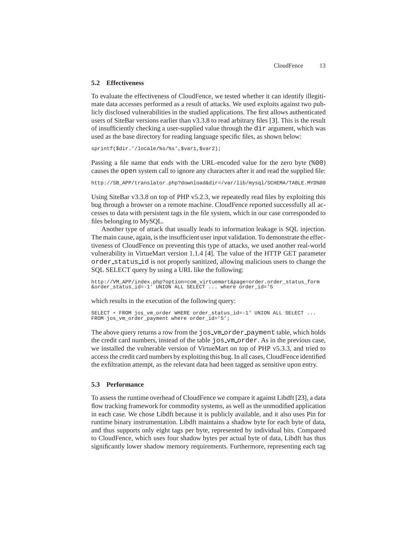#### **5.2 Effectiveness**

To evaluate the effectiveness of CloudFence, we tested whether it can identify illegitimate data accesses performed as a result of attacks. We used exploits against two publicly disclosed vulnerabilities in the studied applications. The first allows authenticated users of SiteBar versions earlier than v3.3.8 to read arbitrary files [\[3\]](#page-18-9). This is the result of insufficiently checking a user-supplied value through the  $\text{dir}$  argument, which was used as the base directory for reading language specific files, as shown below:

sprintf(\$dir.'/locale/%s/%s',\$var1,\$var2);

Passing a file name that ends with the URL-encoded value for the zero byte (\$00) causes the open system call to ignore any characters after it and read the supplied file:

http://SB\_APP/translator.php?download&dir=/var/lib/mysql/SCHEMA/TABLE.MYD%00

Using SiteBar v3.3.8 on top of PHP v5.2.3, we repeatedly read files by exploiting this bug through a browser on a remote machine. CloudFence reported successfully all accesses to data with persistent tags in the file system, which in our case corresponded to files belonging to MySQL.

Another type of attack that usually leads to information leakage is SQL injection. The main cause, again, is the insufficient user input validation. To demonstrate the effectiveness of CloudFence on preventing this type of attacks, we used another real-world vulnerability in VirtueMart version 1.1.4 [\[4\]](#page-18-10). The value of the HTTP GET parameter order status id is not properly sanitized, allowing malicious users to change the SQL SELECT query by using a URL like the following:

http://VM\_APP/index.php?option=com\_virtuemart&page=order.order\_status\_form &order\_status\_id=-1' UNION ALL SELECT ... where order\_id='5

which results in the execution of the following query:

```
SELECT * FROM jos_vm_order WHERE order_status_id=-1' UNION ALL SELECT ...
FROM jos_vm_order_payment where order_id='5';
```
The above query returns a row from the jos\_vm\_order\_payment table, which holds the credit card numbers, instead of the table jos vm order. As in the previous case, we installed the vulnerable version of VirtueMart on top of PHP v5.3.3, and tried to access the credit card numbers by exploiting this bug. In all cases, CloudFence identified the exfiltration attempt, as the relevant data had been tagged as sensitive upon entry.

#### **5.3 Performance**

To assess the runtime overhead of CloudFence we compare it against Libdft [\[23\]](#page-18-5), a data flow tracking framework for commodity systems, as well as the unmodified application in each case. We chose Libdft because it is publicly available, and it also uses Pin for runtime binary instrumentation. Libdft maintains a shadow byte for each byte of data, and thus supports only eight tags per byte, represented by individual bits. Compared to CloudFence, which uses four shadow bytes per actual byte of data, Libdft has thus significantly lower shadow memory requirements. Furthermore, representing each tag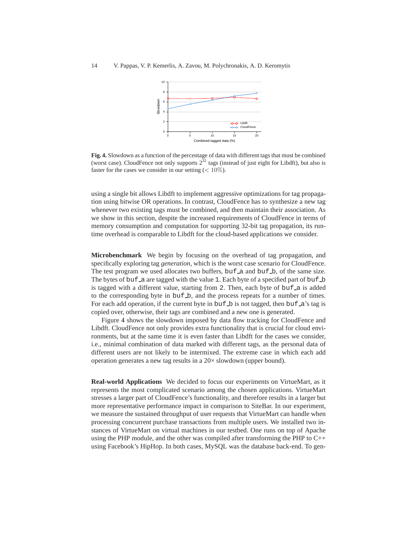

<span id="page-13-0"></span>**Fig. 4.** Slowdown as a function of the percentage of data with different tags that must be combined (worst case). CloudFence not only supports  $2^{32}$  tags (instead of just eight for Libdft), but also is faster for the cases we consider in our setting  $(< 10\%$ ).

using a single bit allows Libdft to implement aggressive optimizations for tag propagation using bitwise OR operations. In contrast, CloudFence has to synthesize a new tag whenever two existing tags must be combined, and then maintain their association. As we show in this section, despite the increased requirements of CloudFence in terms of memory consumption and computation for supporting 32-bit tag propagation, its runtime overhead is comparable to Libdft for the cloud-based applications we consider.

**Microbenchmark** We begin by focusing on the overhead of tag propagation, and specifically exploring tag *generation*, which is the worst case scenario for CloudFence. The test program we used allocates two buffers, buf  $\alpha$  and buf  $\beta$ , of the same size. The bytes of buf a are tagged with the value 1. Each byte of a specified part of buf b is tagged with a different value, starting from 2. Then, each byte of buf  $a$  is added to the corresponding byte in buf  $\Delta$ , and the process repeats for a number of times. For each add operation, if the current byte in buf  $\bot$  b is not tagged, then buf  $\bot$  a's tag is copied over, otherwise, their tags are combined and a new one is generated.

Figure [4](#page-13-0) shows the slowdown imposed by data flow tracking for CloudFence and Libdft. CloudFence not only provides extra functionality that is crucial for cloud environments, but at the same time it is even faster than Libdft for the cases we consider, i.e., minimal combination of data marked with different tags, as the personal data of different users are not likely to be intermixed. The extreme case in which each add operation generates a new tag results in a 20× slowdown (upper bound).

**Real-world Applications** We decided to focus our experiments on VirtueMart, as it represents the most complicated scenario among the chosen applications. VirtueMart stresses a larger part of CloudFence's functionality, and therefore results in a larger but more representative performance impact in comparison to SiteBar. In our experiment, we measure the sustained throughput of user requests that VirtueMart can handle when processing concurrent purchase transactions from multiple users. We installed two instances of VirtueMart on virtual machines in our testbed. One runs on top of Apache using the PHP module, and the other was compiled after transforming the PHP to C++ using Facebook's HipHop. In both cases, MySQL was the database back-end. To gen-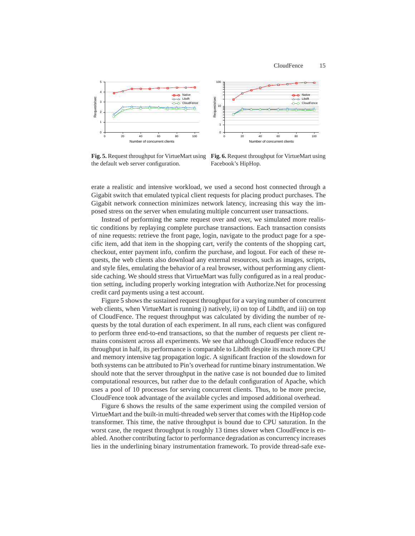

<span id="page-14-0"></span>**Fig. 5.** Request throughput for VirtueMart using the default web server configuration.

<span id="page-14-1"></span>**Fig. 6.** Request throughput for VirtueMart using Facebook's HipHop.

erate a realistic and intensive workload, we used a second host connected through a Gigabit switch that emulated typical client requests for placing product purchases. The Gigabit network connection minimizes network latency, increasing this way the imposed stress on the server when emulating multiple concurrent user transactions.

Instead of performing the same request over and over, we simulated more realistic conditions by replaying complete purchase transactions. Each transaction consists of nine requests: retrieve the front page, login, navigate to the product page for a specific item, add that item in the shopping cart, verify the contents of the shopping cart, checkout, enter payment info, confirm the purchase, and logout. For each of these requests, the web clients also download any external resources, such as images, scripts, and style files, emulating the behavior of a real browser, without performing any clientside caching. We should stress that VirtueMart was fully configured as in a real production setting, including properly working integration with Authorize.Net for processing credit card payments using a test account.

Figure [5](#page-14-0) shows the sustained request throughput for a varying number of concurrent web clients, when VirtueMart is running i) natively, ii) on top of Libdft, and iii) on top of CloudFence. The request throughput was calculated by dividing the number of requests by the total duration of each experiment. In all runs, each client was configured to perform three end-to-end transactions, so that the number of requests per client remains consistent across all experiments. We see that although CloudFence reduces the throughput in half, its performance is comparable to Libdft despite its much more CPU and memory intensive tag propagation logic. A significant fraction of the slowdown for both systems can be attributed to Pin's overhead for runtime binary instrumentation. We should note that the server throughput in the native case is not bounded due to limited computational resources, but rather due to the default configuration of Apache, which uses a pool of 10 processes for serving concurrent clients. Thus, to be more precise, CloudFence took advantage of the available cycles and imposed additional overhead.

Figure [6](#page-14-1) shows the results of the same experiment using the compiled version of VirtueMart and the built-in multi-threaded web server that comes with the HipHop code transformer. This time, the native throughput is bound due to CPU saturation. In the worst case, the request throughput is roughly 13 times slower when CloudFence is enabled. Another contributing factor to performance degradation as concurrency increases lies in the underlining binary instrumentation framework. To provide thread-safe exe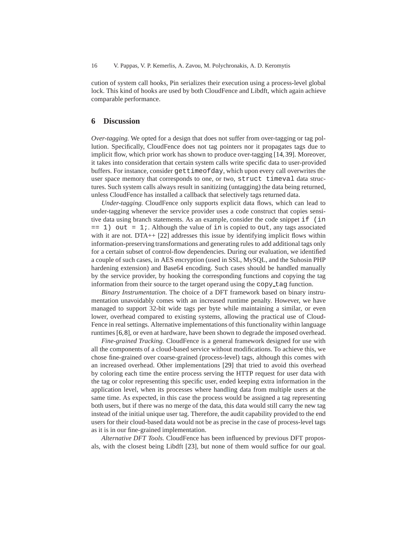cution of system call hooks, Pin serializes their execution using a process-level global lock. This kind of hooks are used by both CloudFence and Libdft, which again achieve comparable performance.

### <span id="page-15-0"></span>**6 Discussion**

*Over-tagging.* We opted for a design that does not suffer from over-tagging or tag pollution. Specifically, CloudFence does not tag pointers nor it propagates tags due to implicit flow, which prior work has shown to produce over-tagging [\[14,](#page-18-6) [39\]](#page-19-14). Moreover, it takes into consideration that certain system calls write specific data to user-provided buffers. For instance, consider gettimeofday, which upon every call overwrites the user space memory that corresponds to one, or two, struct timeval data structures. Such system calls always result in sanitizing (untagging) the data being returned, unless CloudFence has installed a callback that selectively tags returned data.

*Under-tagging.* CloudFence only supports explicit data flows, which can lead to under-tagging whenever the service provider uses a code construct that copies sensitive data using branch statements. As an example, consider the code snippet if (in  $= 1$ ) out  $= 1$ ;. Although the value of in is copied to out, any tags associated with it are not. DTA++ [\[22\]](#page-18-11) addresses this issue by identifying implicit flows within information-preserving transformations and generating rules to add additional tags only for a certain subset of control-flow dependencies. During our evaluation, we identified a couple of such cases, in AES encryption (used in SSL, MySQL, and the Suhosin PHP hardening extension) and Base64 encoding. Such cases should be handled manually by the service provider, by hooking the corresponding functions and copying the tag information from their source to the target operand using the copy  $\pm$  ag function.

*Binary Instrumentation.* The choice of a DFT framework based on binary instrumentation unavoidably comes with an increased runtime penalty. However, we have managed to support 32-bit wide tags per byte while maintaining a similar, or even lower, overhead compared to existing systems, allowing the practical use of Cloud-Fence in real settings. Alternative implementations of this functionality within language runtimes [\[6,](#page-18-12)[8\]](#page-18-13), or even at hardware, have been shown to degrade the imposed overhead.

*Fine-grained Tracking.* CloudFence is a general framework designed for use with all the components of a cloud-based service without modifications. To achieve this, we chose fine-grained over coarse-grained (process-level) tags, although this comes with an increased overhead. Other implementations [\[29\]](#page-19-11) that tried to avoid this overhead by coloring each time the entire process serving the HTTP request for user data with the tag or color representing this specific user, ended keeping extra information in the application level, when its processes where handling data from multiple users at the same time. As expected, in this case the process would be assigned a tag representing both users, but if there was no merge of the data, this data would still carry the new tag instead of the initial unique user tag. Therefore, the audit capability provided to the end users for their cloud-based data would not be as precise in the case of process-level tags as it is in our fine-grained implementation.

*Alternative DFT Tools.* CloudFence has been influenced by previous DFT proposals, with the closest being Libdft [\[23\]](#page-18-5), but none of them would suffice for our goal.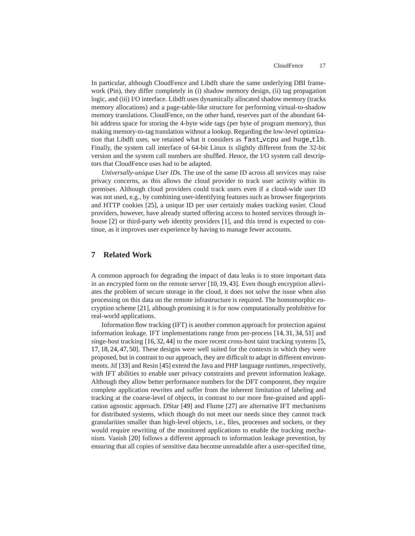In particular, although CloudFence and Libdft share the same underlying DBI framework (Pin), they differ completely in (i) shadow memory design, (ii) tag propagation logic, and (iii) I/O interface. Libdft uses dynamically allocated shadow memory (tracks memory allocations) and a page-table-like structure for performing virtual-to-shadow memory translations. CloudFence, on the other hand, reserves part of the abundant 64 bit address space for storing the 4-byte wide tags (per byte of program memory), thus making memory-to-tag translation without a lookup. Regarding the low-level optimization that Libdft uses, we retained what it considers as fast vcpu and huge tlb. Finally, the system call interface of 64-bit Linux is slightly different from the 32-bit version and the system call numbers are shuffled. Hence, the I/O system call descriptors that CloudFence uses had to be adapted.

*Universally-unique User IDs.* The use of the same ID across all services may raise privacy concerns, as this allows the cloud provider to track user activity within its premises. Although cloud providers could track users even if a cloud-wide user ID was not used, e.g., by combining user-identifying features such as browser fingerprints and HTTP cookies [\[25\]](#page-18-14), a unique ID per user certainly makes tracking easier. Cloud providers, however, have already started offering access to hosted services through in-house [\[2\]](#page-18-7) or third-party web identity providers [\[1\]](#page-18-8), and this trend is expected to continue, as it improves user experience by having to manage fewer accounts.

# **7 Related Work**

A common approach for degrading the impact of data leaks is to store important data in an encrypted form on the remote server [\[10,](#page-18-15) [19,](#page-18-16) [43\]](#page-19-15). Even though encryption alleviates the problem of secure storage in the cloud, it does not solve the issue when also processing on this data on the remote infrastructure is required. The homomorphic encryption scheme [\[21\]](#page-18-17), although promising it is for now computationally prohibitive for real-world applications.

Information flow tracking (IFT) is another common approach for protection against information leakage. IFT implementations range from per-process [\[14,](#page-18-6) [31,](#page-19-16) [34,](#page-19-3) [51\]](#page-19-17) and singe-host tracking [\[16,](#page-18-18) [32,](#page-19-18) [44\]](#page-19-13) to the more recent cross-host taint tracking systems [\[5,](#page-18-19) [17,](#page-18-20) [18,](#page-18-21) [24,](#page-18-22) [47,](#page-19-19) [50\]](#page-19-9). These designs were well suited for the contexts in which they were proposed, but in contrast to our approach, they are difficult to adapt in different environments. Jif [\[33\]](#page-19-7) and Resin [\[45\]](#page-19-20) extend the Java and PHP language runtimes, respectively, with IFT abilities to enable user privacy constraints and prevent information leakage. Although they allow better performance numbers for the DFT component, they require complete application rewrites and suffer from the inherent limitation of labeling and tracking at the coarse-level of objects, in contrast to our more fine-grained and application agnostic approach. DStar [\[49\]](#page-19-21) and Flume [\[27\]](#page-18-23) are alternative IFT mechanisms for distributed systems, which though do not meet our needs since they cannot track granularities smaller than high-level objects, i.e., files, processes and sockets, or they would require rewriting of the monitored applications to enable the tracking mechanism. Vanish [\[20\]](#page-18-24) follows a different approach to information leakage prevention, by ensuring that all copies of sensitive data become unreadable after a user-specified time,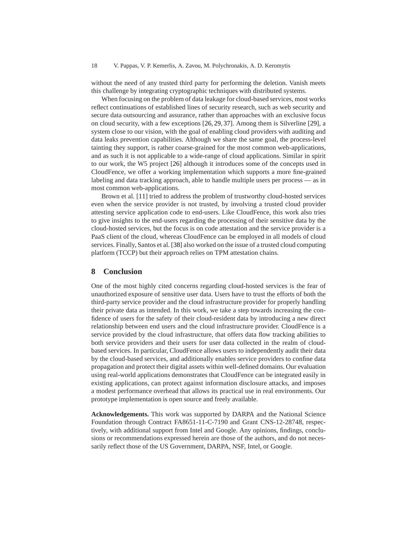without the need of any trusted third party for performing the deletion. Vanish meets this challenge by integrating cryptographic techniques with distributed systems.

When focusing on the problem of data leakage for cloud-based services, most works reflect continuations of established lines of security research, such as web security and secure data outsourcing and assurance, rather than approaches with an exclusive focus on cloud security, with a few exceptions [\[26,](#page-18-25) [29,](#page-19-11) [37\]](#page-19-22). Among them is Silverline [\[29\]](#page-19-11), a system close to our vision, with the goal of enabling cloud providers with auditing and data leaks prevention capabilities. Although we share the same goal, the process-level tainting they support, is rather coarse-grained for the most common web-applications, and as such it is not applicable to a wide-range of cloud applications. Similar in spirit to our work, the W5 project [\[26\]](#page-18-25) although it introduces some of the concepts used in CloudFence, we offer a working implementation which supports a more fine-grained labeling and data tracking approach, able to handle multiple users per process — as in most common web-applications.

Brown et al. [\[11\]](#page-18-26) tried to address the problem of trustworthy cloud-hosted services even when the service provider is not trusted, by involving a trusted cloud provider attesting service application code to end-users. Like CloudFence, this work also tries to give insights to the end-users regarding the processing of their sensitive data by the cloud-hosted services, but the focus is on code attestation and the service provider is a PaaS client of the cloud, whereas CloudFence can be employed in all models of cloud services. Finally, Santos et al. [\[38\]](#page-19-23) also worked on the issue of a trusted cloud computing platform (TCCP) but their approach relies on TPM attestation chains.

### **8 Conclusion**

One of the most highly cited concerns regarding cloud-hosted services is the fear of unauthorized exposure of sensitive user data. Users have to trust the efforts of both the third-party service provider and the cloud infrastructure provider for properly handling their private data as intended. In this work, we take a step towards increasing the confidence of users for the safety of their cloud-resident data by introducing a new direct relationship between end users and the cloud infrastructure provider. CloudFence is a service provided by the cloud infrastructure, that offers data flow tracking abilities to both service providers and their users for user data collected in the realm of cloudbased services. In particular, CloudFence allows users to independently audit their data by the cloud-based services, and additionally enables service providers to confine data propagation and protect their digital assets within well-defined domains. Our evaluation using real-world applications demonstrates that CloudFence can be integrated easily in existing applications, can protect against information disclosure attacks, and imposes a modest performance overhead that allows its practical use in real environments. Our prototype implementation is open source and freely available.

**Acknowledgements.** This work was supported by DARPA and the National Science Foundation through Contract FA8651-11-C-7190 and Grant CNS-12-28748, respectively, with additional support from Intel and Google. Any opinions, findings, conclusions or recommendations expressed herein are those of the authors, and do not necessarily reflect those of the US Government, DARPA, NSF, Intel, or Google.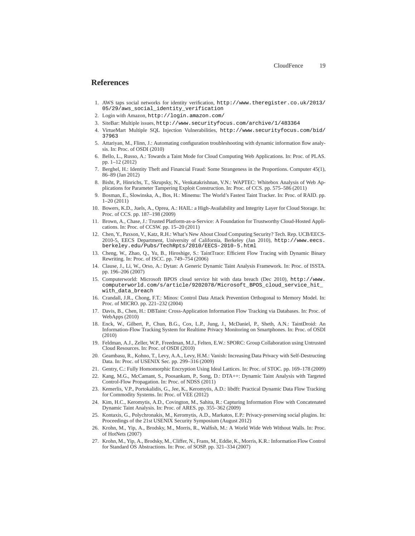# **References**

- <span id="page-18-8"></span>1. AWS taps social networks for identity verification, [http://www.theregister.co.uk/2013/](http://www.theregister.co.uk/2013/05/29/aws_social_identity_verification) [05/29/aws\\_social\\_identity\\_verification](http://www.theregister.co.uk/2013/05/29/aws_social_identity_verification)
- <span id="page-18-9"></span><span id="page-18-7"></span>2. Login with Amazon, <http://login.amazon.com/>
- <span id="page-18-10"></span>3. SiteBar: Multiple issues, <http://www.securityfocus.com/archive/1/483364>
- 4. VirtueMart Multiple SQL Injection Vulnerabilities, [http://www.securityfocus.com/bid/](http://www.securityfocus.com/bid/37963) [37963](http://www.securityfocus.com/bid/37963)
- <span id="page-18-19"></span>5. Attariyan, M., Flinn, J.: Automating configuration troubleshooting with dynamic information flow analysis. In: Proc. of OSDI (2010)
- <span id="page-18-12"></span>6. Bello, L., Russo, A.: Towards a Taint Mode for Cloud Computing Web Applications. In: Proc. of PLAS. pp. 1–12 (2012)
- <span id="page-18-0"></span>7. Berghel, H.: Identity Theft and Financial Fraud: Some Strangeness in the Proportions. Computer 45(1), 86–89 (Jan 2012)
- <span id="page-18-13"></span>8. Bisht, P., Hinrichs, T., Skrupsky, N., Venkatakrishnan, V.N.: WAPTEC: Whitebox Analysis of Web Applications for Parameter Tampering Exploit Construction. In: Proc. of CCS. pp. 575–586 (2011)
- <span id="page-18-3"></span>9. Bosman, E., Slowinska, A., Bos, H.: Minemu: The World's Fastest Taint Tracker. In: Proc. of RAID. pp. 1–20 (2011)
- <span id="page-18-15"></span>10. Bowers, K.D., Juels, A., Oprea, A.: HAIL: a High-Availability and Integrity Layer for Cloud Storage. In: Proc. of CCS. pp. 187–198 (2009)
- <span id="page-18-26"></span>11. Brown, A., Chase, J.: Trusted Platform-as-a-Service: A Foundation for Trustworthy Cloud-Hosted Applications. In: Proc. of CCSW. pp. 15–20 (2011)
- <span id="page-18-2"></span>12. Chen, Y., Paxson, V., Katz, R.H.: What's New About Cloud Computing Security? Tech. Rep. UCB/EECS-2010-5, EECS Department, University of California, Berkeley (Jan 2010), [http://www.eecs.](http://www.eecs.berkeley.edu/Pubs/TechRpts/2010/EECS-2010-5.html) [berkeley.edu/Pubs/TechRpts/2010/EECS-2010-5.html](http://www.eecs.berkeley.edu/Pubs/TechRpts/2010/EECS-2010-5.html)
- <span id="page-18-4"></span>13. Cheng, W., Zhao, Q., Yu, B., Hiroshige, S.: TaintTrace: Efficient Flow Tracing with Dynamic Binary Rewriting. In: Proc. of ISCC. pp. 749–754 (2006)
- <span id="page-18-6"></span>14. Clause, J., Li, W., Orso, A.: Dytan: A Generic Dynamic Taint Analysis Framework. In: Proc. of ISSTA. pp. 196–206 (2007)
- <span id="page-18-1"></span>15. Computerworld: Microsoft BPOS cloud service hit with data breach (Dec 2010), [http://www.](http://www.computerworld.com/s/article/9202078/Microsoft_BPOS_cloud_service_hit_with_data_breach) [computerworld.com/s/article/9202078/Microsoft\\_BPOS\\_cloud\\_service\\_hit\\_](http://www.computerworld.com/s/article/9202078/Microsoft_BPOS_cloud_service_hit_with_data_breach) [with\\_data\\_breach](http://www.computerworld.com/s/article/9202078/Microsoft_BPOS_cloud_service_hit_with_data_breach)
- <span id="page-18-18"></span>16. Crandall, J.R., Chong, F.T.: Minos: Control Data Attack Prevention Orthogonal to Memory Model. In: Proc. of MICRO. pp. 221–232 (2004)
- <span id="page-18-20"></span>17. Davis, B., Chen, H.: DBTaint: Cross-Application Information Flow Tracking via Databases. In: Proc. of WebApps (2010)
- <span id="page-18-21"></span>18. Enck, W., Gilbert, P., Chun, B.G., Cox, L.P., Jung, J., McDaniel, P., Sheth, A.N.: TaintDroid: An Information-Flow Tracking System for Realtime Privacy Monitoring on Smartphones. In: Proc. of OSDI (2010)
- <span id="page-18-16"></span>19. Feldman, A.J., Zeller, W.P., Freedman, M.J., Felten, E.W.: SPORC: Group Collaboration using Untrusted Cloud Resources. In: Proc. of OSDI (2010)
- <span id="page-18-24"></span>20. Geambasu, R., Kohno, T., Levy, A.A., Levy, H.M.: Vanish: Increasing Data Privacy with Self-Destructing Data. In: Proc. of USENIX Sec. pp. 299–316 (2009)
- <span id="page-18-17"></span><span id="page-18-11"></span>21. Gentry, C.: Fully Homomorphic Encryption Using Ideal Lattices. In: Proc. of STOC. pp. 169–178 (2009)
- 22. Kang, M.G., McCamant, S., Poosankam, P., Song, D.: DTA++: Dynamic Taint Analysis with Targeted Control-Flow Propagation. In: Proc. of NDSS (2011)
- <span id="page-18-5"></span>23. Kemerlis, V.P., Portokalidis, G., Jee, K., Keromytis, A.D.: libdft: Practical Dynamic Data Flow Tracking for Commodity Systems. In: Proc. of VEE (2012)
- <span id="page-18-22"></span>24. Kim, H.C., Keromytis, A.D., Covington, M., Sahita, R.: Capturing Information Flow with Concatenated Dynamic Taint Analysis. In: Proc. of ARES. pp. 355–362 (2009)
- <span id="page-18-14"></span>25. Kontaxis, G., Polychronakis, M., Keromytis, A.D., Markatos, E.P.: Privacy-preserving social plugins. In: Proceedings of the 21st USENIX Security Symposium (August 2012)
- <span id="page-18-25"></span>26. Krohn, M., Yip, A., Brodsky, M., Morris, R., Walfish, M.: A World Wide Web Without Walls. In: Proc. of HotNets (2007)
- <span id="page-18-23"></span>27. Krohn, M., Yip, A., Brodsky, M., Cliffer, N., Frans, M., Eddie, K., Morris, K.R.: Information Flow Control for Standard OS Abstractions. In: Proc. of SOSP. pp. 321–334 (2007)